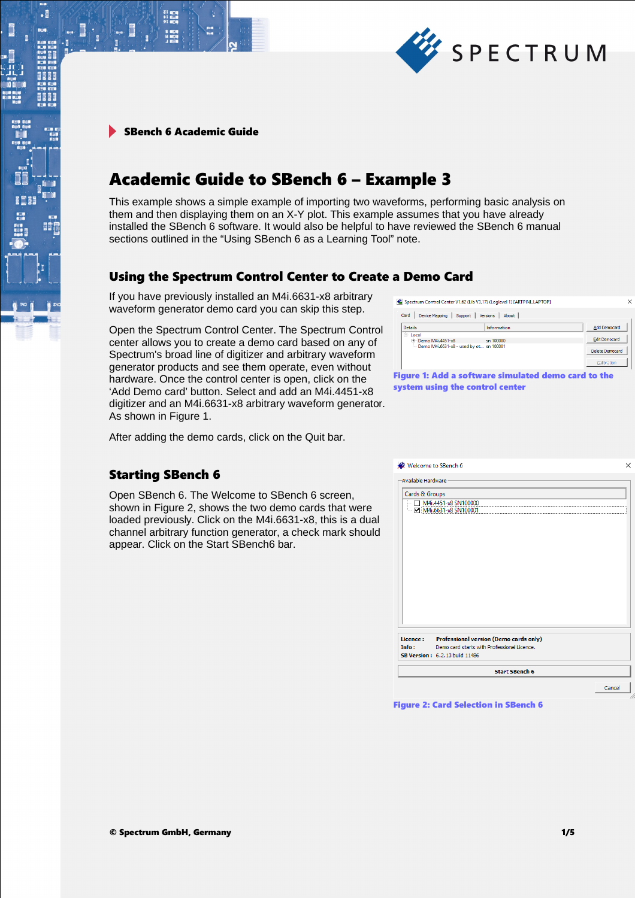

.

# Academic Guide to SBench 6 – Example 3

This example shows a simple example of importing two waveforms, performing basic analysis on them and then displaying them on an X-Y plot. This example assumes that you have already installed the SBench 6 software. It would also be helpful to have reviewed the SBench 6 manual sections outlined in the "Using SBench 6 as a Learning Tool" note.

### Using the Spectrum Control Center to Create a Demo Card

If you have previously installed an M4i.6631-x8 arbitrary waveform generator demo card you can skip this step.

Open the Spectrum Control Center. The Spectrum Control center allows you to create a demo card based on any of Spectrum's broad line of digitizer and arbitrary waveform generator products and see them operate, even without hardware. Once the control center is open, click on the 'Add Demo card' button. Select and add an M4i.4451-x8 digitizer and an M4i.6631-x8 arbitrary waveform generator. As shown in Figure 1.

After adding the demo cards, click on the Quit bar.

### Starting SBench 6

Open SBench 6. The Welcome to SBench 6 screen, shown in Figure 2, shows the two demo cards that were loaded previously. Click on the M4i.6631-x8, this is a dual channel arbitrary function generator, a check mark should appear. Click on the Start SBench6 bar.

| Welcome to SBench 6                  |                                                                                              | $\times$ |
|--------------------------------------|----------------------------------------------------------------------------------------------|----------|
| Available Hardware<br>Cards & Groups | M4i.4451-x8 SN100000<br>M4i.6631-x8 SN100001                                                 |          |
|                                      |                                                                                              |          |
|                                      |                                                                                              |          |
| Licence:<br>Info:                    | <b>Professional version (Demo cards only)</b><br>Demo card starts with Professional Licence. |          |
|                                      | <b>SB Version: 6.2.13 build 11486</b>                                                        |          |
|                                      | <b>Start SBench 6</b>                                                                        |          |
|                                      |                                                                                              | Cancel   |

Figure 2: Card Selection in SBench 6



| Card<br>Device Mapping<br>Support       | About<br>Versions                                   |                      |
|-----------------------------------------|-----------------------------------------------------|----------------------|
| <b>Details</b>                          | Information                                         | Add Democard         |
| $F -$ Local<br>Demo M4i.4451-x8<br>m    | $\sin 100000$                                       | <b>Edit Democard</b> |
| Demo M4i.6631-x8 - used by ot sn 100001 | <b>Delete Democard</b>                              |                      |
|                                         |                                                     | Calibration          |
|                                         | Figure 1: Add a software simulated demo card to the |                      |

system using the control center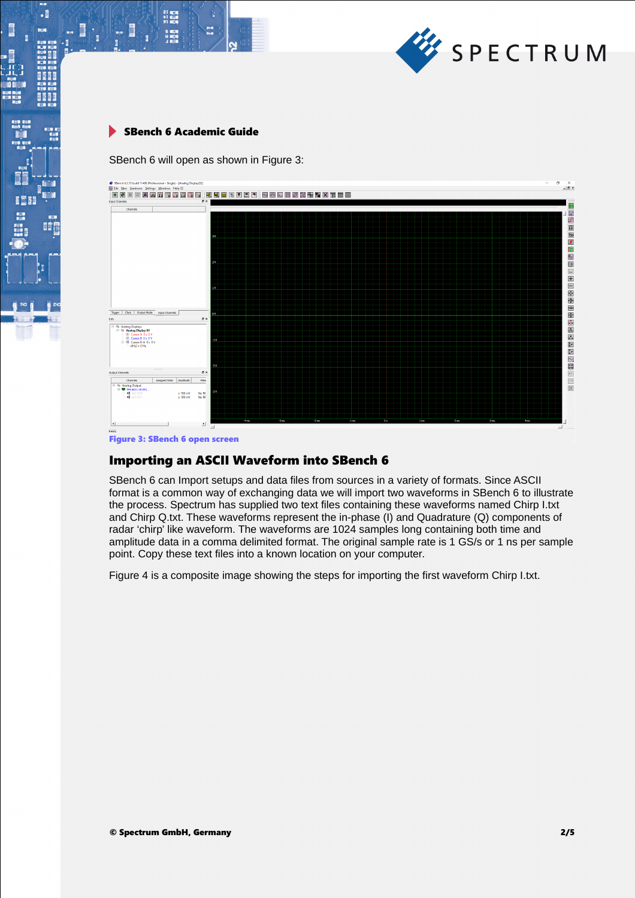

 $\begin{array}{l} \text{Z} \parallel \text{R} \parallel \text{R} \parallel \text{R} \parallel \text{R} \parallel \text{R} \parallel \text{R} \parallel \text{R} \parallel \text{R} \parallel \text{R} \parallel \text{R} \parallel \text{R} \parallel \text{R} \parallel \text{R} \parallel \text{R} \parallel \text{R} \parallel \text{R} \parallel \text{R} \parallel \text{R} \parallel \text{R} \parallel \text{R} \parallel \text{R} \parallel \text{R} \parallel \text{R} \parallel \text{R} \parallel \text{R} \parallel \text{R} \parallel \text{R} \parallel \text{R} \parallel \text{R} \parallel \text{$ 

 $\cdot$ 

8661

BÔ

SBench 6 will open as shown in Figure 3:



Figure 3: SBench 6 open screen

### Importing an ASCII Waveform into SBench 6

SBench 6 can Import setups and data files from sources in a variety of formats. Since ASCII format is a common way of exchanging data we will import two waveforms in SBench 6 to illustrate the process. Spectrum has supplied two text files containing these waveforms named Chirp I.txt and Chirp Q.txt. These waveforms represent the in-phase (I) and Quadrature (Q) components of radar 'chirp' like waveform. The waveforms are 1024 samples long containing both time and amplitude data in a comma delimited format. The original sample rate is 1 GS/s or 1 ns per sample point. Copy these text files into a known location on your computer.

Figure 4 is a composite image showing the steps for importing the first waveform Chirp I.txt.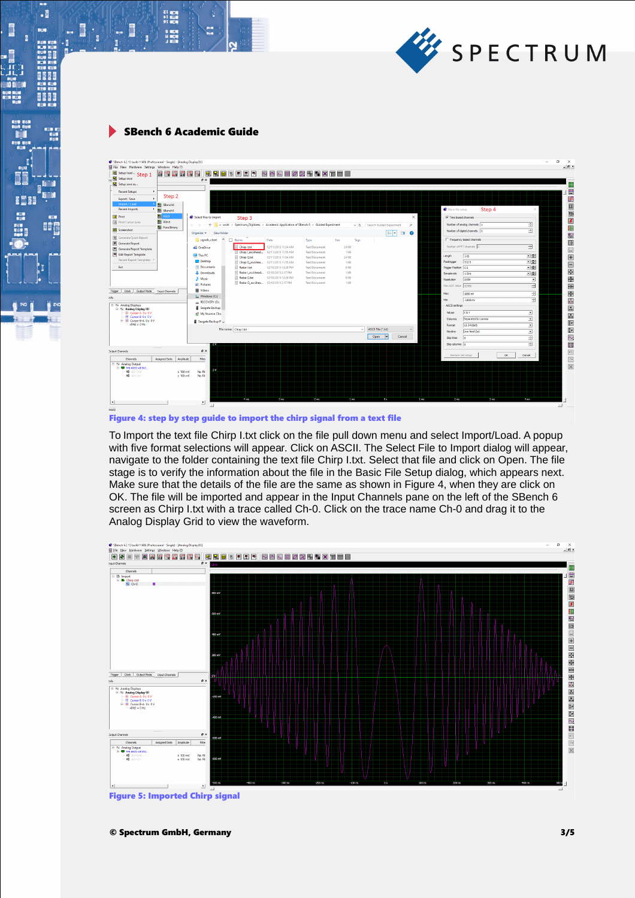

 $\begin{array}{l} \text{Z} \parallel \text{R} \parallel \text{R} \parallel \text{R} \parallel \text{R} \parallel \text{R} \parallel \text{R} \parallel \text{R} \parallel \text{R} \parallel \text{R} \parallel \text{R} \parallel \text{R} \parallel \text{R} \parallel \text{R} \parallel \text{R} \parallel \text{R} \parallel \text{R} \parallel \text{R} \parallel \text{R} \parallel \text{R} \parallel \text{R} \parallel \text{R} \parallel \text{R} \parallel \text{R} \parallel \text{R} \parallel \text{R} \parallel \text{R} \parallel \text{R} \parallel \text{R} \parallel \text{R} \parallel \text{$ 

S MEN<br>H MEN

Ē

 $\cdot$ 

8661

BÔ

I

| SBench 6.2.13 build 11486 (Professional - Single) - [Analog Display(0)]<br>No File New Hardware Settings Windows Help (?)<br>Setup load  Step 1<br>IM RI<br>$\sim$<br><b>De Setup save</b> | <b>D.</b><br>ان <sup>4</sup> آن<br>日見図<br>A<br>图<br>$\theta$ X                                                            | <b>NAMEZRHNXTEL</b>                                                                      |                                                                                              |                                           |                                           |          |                                                         |                                                             |          |                                                  | σ<br>$\times$<br>$ \theta$ $\times$ |
|--------------------------------------------------------------------------------------------------------------------------------------------------------------------------------------------|---------------------------------------------------------------------------------------------------------------------------|------------------------------------------------------------------------------------------|----------------------------------------------------------------------------------------------|-------------------------------------------|-------------------------------------------|----------|---------------------------------------------------------|-------------------------------------------------------------|----------|--------------------------------------------------|-------------------------------------|
| Setup save as<br><b>Recent Setups</b><br>Step <sub>2</sub><br>Export / Save<br>Import / Load                                                                                               |                                                                                                                           |                                                                                          |                                                                                              |                                           |                                           |          |                                                         |                                                             |          |                                                  | 国口                                  |
| <b>Nel SBench6</b><br><b>Recent Imports</b><br><b>Bill</b> SBench5<br><b>ASCII</b><br><b>Print</b><br><b>NH</b> Wave<br>Print Cursor Area                                                  | Select files to import<br>Step <sub>3</sub>                                                                               |                                                                                          |                                                                                              |                                           |                                           | $\times$ | <b>Basic file setup</b><br>$\nabla$ Time based channels | Step 4                                                      |          |                                                  |                                     |
| <b>No</b> Pure Binary<br>Screenshot                                                                                                                                                        | « work > Spectrum_Digitizers > Academic Application of SBench 6 > Guided Experiment<br>$\longrightarrow$<br>$\uparrow$    |                                                                                          |                                                                                              | $\vee$ 0                                  | Search Guided Experiment<br><b>EVILLE</b> | $\circ$  |                                                         | Number of analog channels 1<br>Number of digital channels 0 |          | 굴<br>白                                           |                                     |
| <b>B</b> Generate Quick Report<br>Generate Report<br>Generate Report Template                                                                                                              | Organize *<br>New folder<br>$\wedge$<br>$\Box$ Name<br>signals_chart<br>Chiro Ltd.<br><b>45 OneDrive</b>                  | Date<br>12/11/2015 11:54 AM                                                              | Type<br><b>Text Document</b>                                                                 | Size<br>Tags<br>24 KB                     |                                           |          |                                                         | F Frequency based channels<br>Number of FFT channels 0      |          | ÷                                                |                                     |
| Edit Report Template<br>Recent Report Templates<br>Exit                                                                                                                                    | Chirp   asciihead<br>This PC<br>Chirp Q.txt<br>Desktop<br><b>III</b> Chirp Q_asciihea<br><b>El Documents</b><br>Radar Ltd | 12/11/2015 11:55 AM<br>12/11/2015 11:54 AM<br>12/11/2015 11:55 AM<br>12/10/2015 12:28 PM | <b>Text Document</b><br><b>Text Document</b><br><b>Text Document</b><br><b>Text Document</b> | $1 K$ B<br><b>24 KB</b><br>$1$ KB<br>9 KB |                                           |          | Length<br>Posttrigger<br>Trigger Position 05            | 185<br><b>512 S</b>                                         |          | 国家<br>그룹<br>고점                                   |                                     |
|                                                                                                                                                                                            | Radar Lasciihead<br><b>L</b> Downloads<br>Radar Q.txt<br>h Music<br><b>Pictures</b>                                       | 12/10/2015 2:17 PM<br>12/10/2015 12:28 PM<br>Radar Q asciihea 12/10/2015 2:17 PM         | <b>Text Document</b><br><b>Text Document</b><br><b>Text Document</b>                         | $1 K$ B<br>9 KB<br>1 KB                   |                                           |          | Samplerate<br>Resolution<br>Max ADC Value 32768         | $1$ GHz<br>16 Bit                                           |          | 回圈<br>$\overline{\phantom{a}}$<br>$\overline{r}$ |                                     |
| Clock   Output Mode   Input Channels<br>Trigger<br>Info<br>El & Analog Displays                                                                                                            | <b>N</b> Videos<br>"L. Windows (Ci)<br>RECOVERY (D:)                                                                      |                                                                                          |                                                                                              |                                           |                                           |          | Max<br>Min<br>ASCII settings                            | 1000 ml<br>$-1000$ mV                                       |          | 臣<br>臣                                           |                                     |
| Re Analog Display (0)<br>+ Cursor A 0 s 0 V<br>El Cursor B 0 s 0 V<br>E- # Cursor B-A 0 s 0 V<br>$x(Hz) = 0 Hz$                                                                            | Seagate Backup<br>My Nuance Clos<br>Seagate Backup P v                                                                    |                                                                                          |                                                                                              |                                           |                                           |          | Values<br>Columns<br>Format                             | <b>X&amp;Y</b><br>Separated by comma<br>12.34 (dot)         |          | 츠<br>z<br>⊡                                      |                                     |
|                                                                                                                                                                                            | File name: Chirp I.bt<br>-2 V                                                                                             |                                                                                          |                                                                                              |                                           | ASCII File (*.bt)<br>Open<br>Cancel       | $\sim$   | Newline<br>Skip lines<br>Skip columns 0                 | Line feed (Vi)<br>$\sqrt{2}$                                |          | ⊻<br>÷<br>골                                      |                                     |
| <b>Cutout Channels</b>                                                                                                                                                                     | a x                                                                                                                       |                                                                                          |                                                                                              |                                           |                                           |          | Restore last setup                                      |                                                             | $\alpha$ | Cancel                                           |                                     |
| Assigned Data<br>Amplitude<br>Channels<br>Analog Output<br>E- M6.6631-x8 SN1<br>d AO-ChO<br>$+100$ mV<br>di an-chi<br>$±100$ mV                                                            | Filter<br>m<br>No Fit<br>No Fit                                                                                           |                                                                                          |                                                                                              |                                           |                                           |          |                                                         |                                                             |          |                                                  |                                     |
|                                                                                                                                                                                            |                                                                                                                           |                                                                                          |                                                                                              |                                           |                                           |          |                                                         |                                                             |          |                                                  |                                     |
| $\left  \cdot \right $                                                                                                                                                                     | -4ms<br>픠                                                                                                                 | 3 mi                                                                                     | 2m                                                                                           | -1 ms                                     | 10.6                                      | 1 ms     | 2 <sub>ms</sub>                                         | 3 ms                                                        |          | <b>4 ms</b>                                      |                                     |

Figure 4: step by step guide to import the chirp signal from a text file

To Import the text file Chirp I.txt click on the file pull down menu and select Import/Load. A popup with five format selections will appear. Click on ASCII. The Select File to Import dialog will appear, navigate to the folder containing the text file Chirp I.txt. Select that file and click on Open. The file stage is to verify the information about the file in the Basic File Setup dialog, which appears next. Make sure that the details of the file are the same as shown in Figure 4, when they are click on OK. The file will be imported and appear in the Input Channels pane on the left of the SBench 6 screen as Chirp I.txt with a trace called Ch-0. Click on the trace name Ch-0 and drag it to the Analog Display Grid to view the waveform.



Figure 5: Imported Chirp signal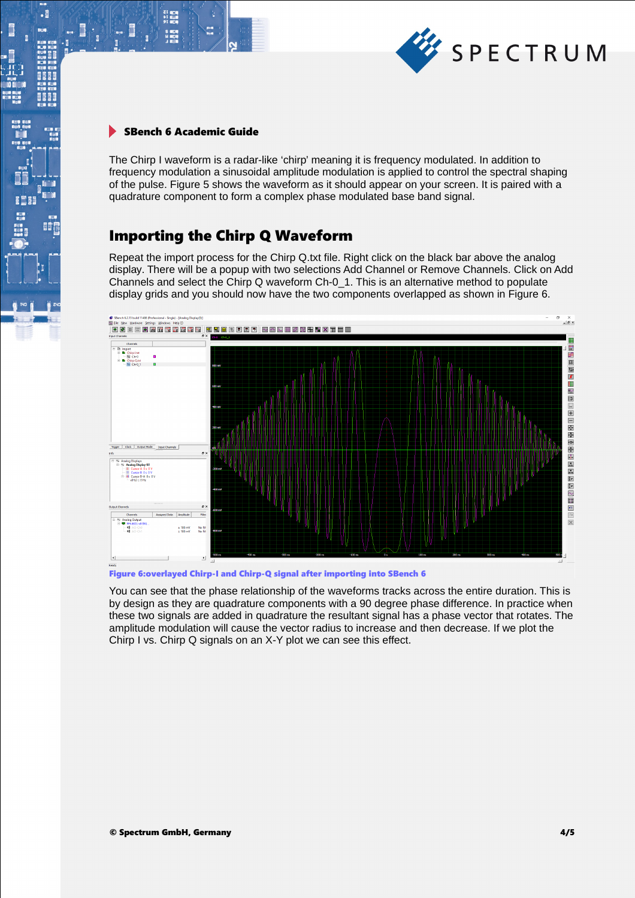

21 mgm<br>51 mgm<br>91 mgm

 $\cdot$ 

EÔ

The Chirp I waveform is a radar-like 'chirp' meaning it is frequency modulated. In addition to frequency modulation a sinusoidal amplitude modulation is applied to control the spectral shaping of the pulse. Figure 5 shows the waveform as it should appear on your screen. It is paired with a quadrature component to form a complex phase modulated base band signal.

## Importing the Chirp Q Waveform

Repeat the import process for the Chirp Q.txt file. Right click on the black bar above the analog display. There will be a popup with two selections Add Channel or Remove Channels. Click on Add Channels and select the Chirp Q waveform Ch-0\_1. This is an alternative method to populate display grids and you should now have the two components overlapped as shown in Figure 6.



Figure 6:overlayed Chirp-I and Chirp-Q signal after importing into SBench 6

You can see that the phase relationship of the waveforms tracks across the entire duration. This is by design as they are quadrature components with a 90 degree phase difference. In practice when these two signals are added in quadrature the resultant signal has a phase vector that rotates. The amplitude modulation will cause the vector radius to increase and then decrease. If we plot the Chirp I vs. Chirp Q signals on an X-Y plot we can see this effect.